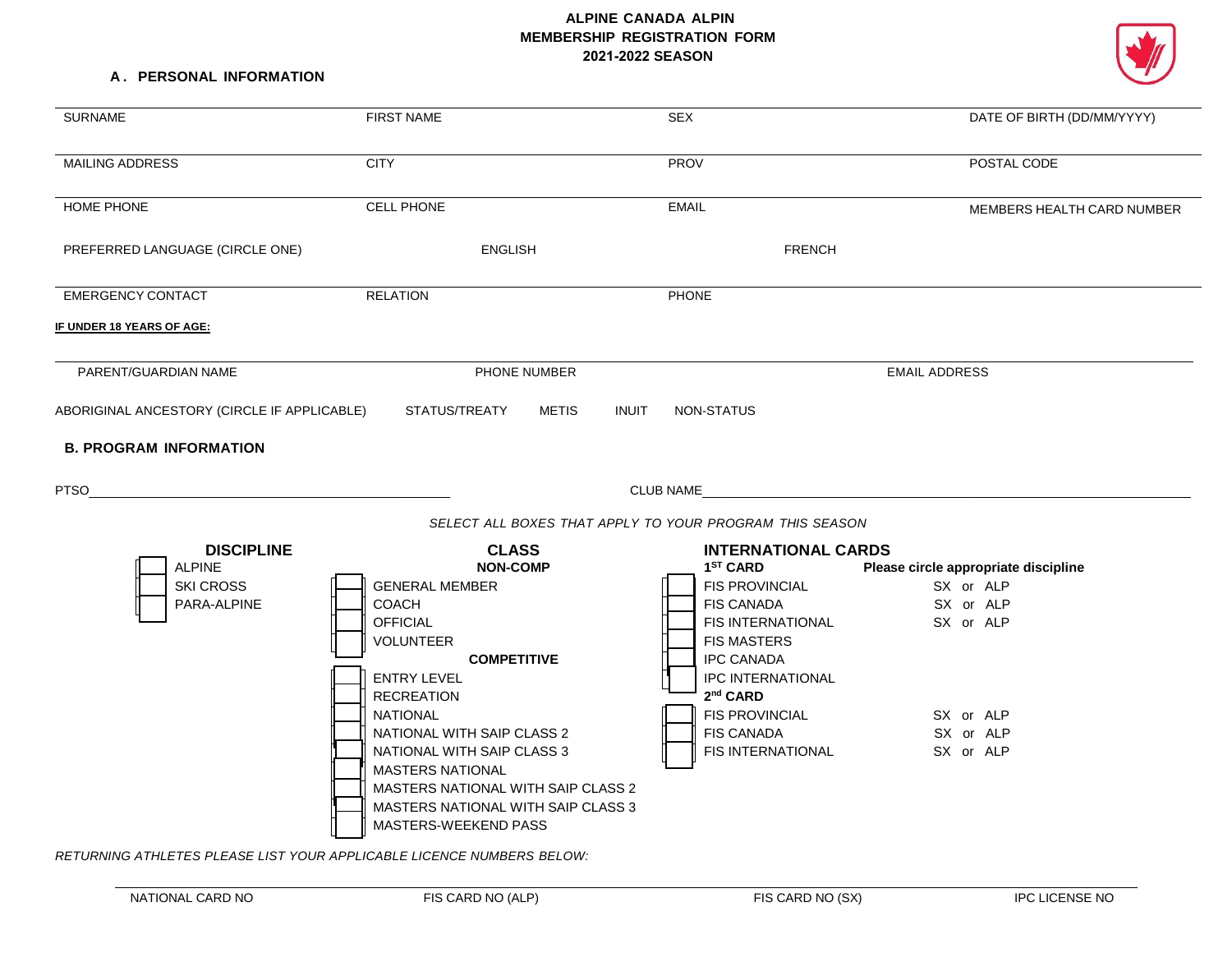# **ALPINE CANADA ALPIN MEMBERSHIP REGISTRATION FORM 2021-2022 SEASON**

### **A . PERSONAL INFORMATION**

| <b>SURNAME</b>                                                                              | <b>FIRST NAME</b>                                                                                                                                                                                                                                                                                                                                                      | <b>SEX</b>                                                                                                                                                                                                                                                                              | DATE OF BIRTH (DD/MM/YYYY)                                                                                         |
|---------------------------------------------------------------------------------------------|------------------------------------------------------------------------------------------------------------------------------------------------------------------------------------------------------------------------------------------------------------------------------------------------------------------------------------------------------------------------|-----------------------------------------------------------------------------------------------------------------------------------------------------------------------------------------------------------------------------------------------------------------------------------------|--------------------------------------------------------------------------------------------------------------------|
| MAILING ADDRESS                                                                             | <b>CITY</b>                                                                                                                                                                                                                                                                                                                                                            | <b>PROV</b>                                                                                                                                                                                                                                                                             | POSTAL CODE                                                                                                        |
| HOME PHONE                                                                                  | CELL PHONE                                                                                                                                                                                                                                                                                                                                                             | <b>EMAIL</b>                                                                                                                                                                                                                                                                            | MEMBERS HEALTH CARD NUMBER                                                                                         |
| PREFERRED LANGUAGE (CIRCLE ONE)                                                             | <b>ENGLISH</b>                                                                                                                                                                                                                                                                                                                                                         | <b>FRENCH</b>                                                                                                                                                                                                                                                                           |                                                                                                                    |
| <b>EMERGENCY CONTACT</b>                                                                    | <b>RELATION</b>                                                                                                                                                                                                                                                                                                                                                        | PHONE                                                                                                                                                                                                                                                                                   |                                                                                                                    |
| IF UNDER 18 YEARS OF AGE:                                                                   |                                                                                                                                                                                                                                                                                                                                                                        |                                                                                                                                                                                                                                                                                         |                                                                                                                    |
| PARENT/GUARDIAN NAME                                                                        | PHONE NUMBER                                                                                                                                                                                                                                                                                                                                                           |                                                                                                                                                                                                                                                                                         | <b>EMAIL ADDRESS</b>                                                                                               |
| ABORIGINAL ANCESTORY (CIRCLE IF APPLICABLE)<br><b>B. PROGRAM INFORMATION</b><br><b>PTSO</b> | STATUS/TREATY<br>METIS                                                                                                                                                                                                                                                                                                                                                 | <b>INUIT</b><br><b>NON-STATUS</b><br>CLUB NAME                                                                                                                                                                                                                                          |                                                                                                                    |
|                                                                                             |                                                                                                                                                                                                                                                                                                                                                                        | SELECT ALL BOXES THAT APPLY TO YOUR PROGRAM THIS SEASON                                                                                                                                                                                                                                 |                                                                                                                    |
| <b>DISCIPLINE</b><br><b>ALPINE</b><br><b>SKI CROSS</b><br>PARA-ALPINE                       | <b>CLASS</b><br><b>NON-COMP</b><br><b>GENERAL MEMBER</b><br><b>COACH</b><br><b>OFFICIAL</b><br><b>VOLUNTEER</b><br><b>COMPETITIVE</b><br><b>ENTRY LEVEL</b><br><b>RECREATION</b><br><b>NATIONAL</b><br>NATIONAL WITH SAIP CLASS 2<br>NATIONAL WITH SAIP CLASS 3<br><b>MASTERS NATIONAL</b><br>MASTERS NATIONAL WITH SAIP CLASS 2<br>MASTERS NATIONAL WITH SAIP CLASS 3 | <b>INTERNATIONAL CARDS</b><br>1 <sup>ST</sup> CARD<br><b>FIS PROVINCIAL</b><br><b>FIS CANADA</b><br>FIS INTERNATIONAL<br><b>FIS MASTERS</b><br><b>IPC CANADA</b><br><b>IPC INTERNATIONAL</b><br>2 <sup>nd</sup> CARD<br><b>FIS PROVINCIAL</b><br><b>FIS CANADA</b><br>FIS INTERNATIONAL | Please circle appropriate discipline<br>SX or ALP<br>SX or ALP<br>SX or ALP<br>SX or ALP<br>SX or ALP<br>SX or ALP |

*RETURNING ATHLETES PLEASE LIST YOUR APPLICABLE LICENCE NUMBERS BELOW:*